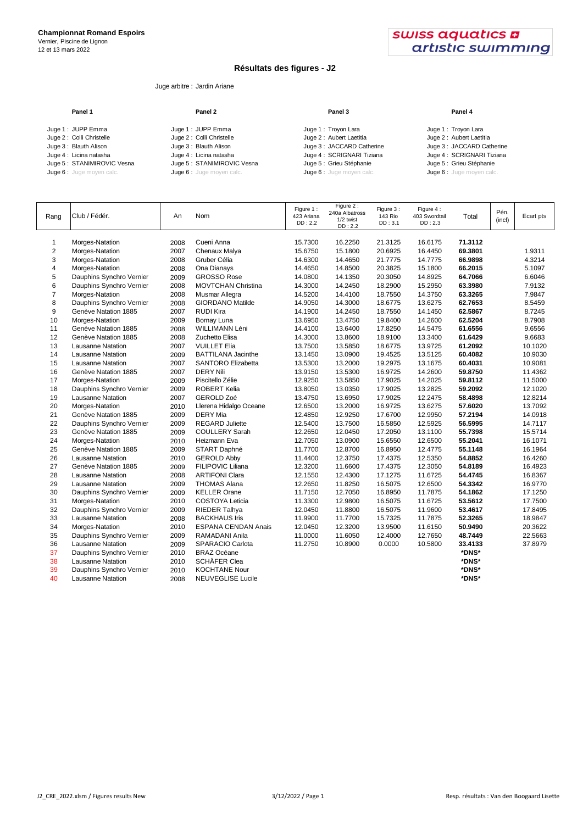12 et 13 mars 2022



## **Résultats des figures - J2**

## Juge arbitre : Jardin Ariane

| Panel 1                    | Panel 2                    | Panel 3                   | Panel 4                   |
|----------------------------|----------------------------|---------------------------|---------------------------|
| Juge 1: JUPP Emma          | Juge 1: JUPP Emma          | Juge 1: Troyon Lara       | Juge 1: Troyon Lara       |
| Juge 2: Colli Christelle   | Juge 2: Colli Christelle   | Juge 2: Aubert Laetitia   | Juge 2: Aubert Laetitia   |
| Juge 3: Blauth Alison      | Juge 3: Blauth Alison      | Juge 3: JACCARD Catherine | Juge 3: JACCARD Catherine |
| Juge 4: Licina natasha     | Juge 4: Licina natasha     | Juge 4: SCRIGNARI Tiziana | Juge 4: SCRIGNARI Tiziana |
| Juge 5: STANIMIROVIC Vesna | Juge 5: STANIMIROVIC Vesna | Juge 5 : Grieu Stéphanie  | Juge 5 : Grieu Stéphanie  |
| Juge 6 : Juge moyen calc.  | Juge 6 : Juge moyen calc.  | Juge 6 : Juge moyen calc. | Juge 6 : Juge moyen calc. |

| Rang           | Club / Fédér.            | An   | Nom                        | Figure 1:<br>423 Ariana<br>DD:2.2 | Figure 2:<br>240a Albatross<br>1/2 twist<br>DD:2.2 | Figure 3:<br>143 Rio<br>DD:3.1 | Figure 4:<br>403 Swordtail<br>DD:2.3 | Total   | Pén.<br>(incl) | Ecart pts |
|----------------|--------------------------|------|----------------------------|-----------------------------------|----------------------------------------------------|--------------------------------|--------------------------------------|---------|----------------|-----------|
| 1              | Morges-Natation          | 2008 | Cueni Anna                 | 15.7300                           | 16.2250                                            | 21.3125                        | 16.6175                              | 71.3112 |                |           |
| $\overline{2}$ | Morges-Natation          | 2007 | Chenaux Malya              | 15.6750                           | 15.1800                                            | 20.6925                        | 16.4450                              | 69.3801 |                | 1.9311    |
| 3              | Morges-Natation          | 2008 | Gruber Célia               | 14.6300                           | 14.4650                                            | 21.7775                        | 14.7775                              | 66.9898 |                | 4.3214    |
| 4              | Morges-Natation          | 2008 | Ona Dianays                | 14.4650                           | 14.8500                                            | 20.3825                        | 15.1800                              | 66.2015 |                | 5.1097    |
| 5              | Dauphins Synchro Vernier | 2009 | <b>GROSSO Rose</b>         | 14.0800                           | 14.1350                                            | 20.3050                        | 14.8925                              | 64.7066 |                | 6.6046    |
| 6              | Dauphins Synchro Vernier | 2008 | <b>MOVTCHAN Christina</b>  | 14.3000                           | 14.2450                                            | 18.2900                        | 15.2950                              | 63.3980 |                | 7.9132    |
| $\overline{7}$ | Morges-Natation          | 2008 | Musmar Allegra             | 14.5200                           | 14.4100                                            | 18.7550                        | 14.3750                              | 63.3265 |                | 7.9847    |
| 8              | Dauphins Synchro Vernier | 2008 | <b>GIORDANO Matilde</b>    | 14.9050                           | 14.3000                                            | 18.6775                        | 13.6275                              | 62.7653 |                | 8.5459    |
| 9              | Genève Natation 1885     | 2007 | <b>RUDI Kira</b>           | 14.1900                           | 14.2450                                            | 18.7550                        | 14.1450                              | 62.5867 |                | 8.7245    |
| 10             | Morges-Natation          | 2009 | Bornay Luna                | 13.6950                           | 13.4750                                            | 19.8400                        | 14.2600                              | 62.5204 |                | 8.7908    |
| 11             | Genève Natation 1885     | 2008 | WILLIMANN Léni             | 14.4100                           | 13.6400                                            | 17.8250                        | 14.5475                              | 61.6556 |                | 9.6556    |
| 12             | Genève Natation 1885     | 2008 | Zuchetto Elisa             | 14.3000                           | 13.8600                                            | 18.9100                        | 13.3400                              | 61.6429 |                | 9.6683    |
| 13             | <b>Lausanne Natation</b> | 2007 | <b>VUILLET Elia</b>        | 13.7500                           | 13.5850                                            | 18.6775                        | 13.9725                              | 61.2092 |                | 10.1020   |
| 14             | <b>Lausanne Natation</b> | 2009 | <b>BATTILANA Jacinthe</b>  | 13.1450                           | 13.0900                                            | 19.4525                        | 13.5125                              | 60.4082 |                | 10.9030   |
| 15             | <b>Lausanne Natation</b> | 2007 | SANTORO Elizabetta         | 13.5300                           | 13.2000                                            | 19.2975                        | 13.1675                              | 60.4031 |                | 10.9081   |
| 16             | Genève Natation 1885     | 2007 | <b>DERY Nili</b>           | 13.9150                           | 13.5300                                            | 16.9725                        | 14.2600                              | 59.8750 |                | 11.4362   |
| 17             | Morges-Natation          | 2009 | Piscitello Zélie           | 12.9250                           | 13.5850                                            | 17.9025                        | 14.2025                              | 59.8112 |                | 11.5000   |
| 18             | Dauphins Synchro Vernier | 2009 | <b>ROBERT Kelia</b>        | 13.8050                           | 13.0350                                            | 17.9025                        | 13.2825                              | 59.2092 |                | 12.1020   |
| 19             | <b>Lausanne Natation</b> | 2007 | GEROLD Zoé                 | 13.4750                           | 13.6950                                            | 17.9025                        | 12.2475                              | 58.4898 |                | 12.8214   |
| 20             | Morges-Natation          | 2010 | Llerena Hidalgo Oceane     | 12.6500                           | 13.2000                                            | 16.9725                        | 13.6275                              | 57.6020 |                | 13.7092   |
| 21             | Genève Natation 1885     | 2009 | <b>DERY</b> Mia            | 12.4850                           | 12.9250                                            | 17.6700                        | 12.9950                              | 57.2194 |                | 14.0918   |
| 22             | Dauphins Synchro Vernier | 2009 | <b>REGARD Juliette</b>     | 12.5400                           | 13.7500                                            | 16.5850                        | 12.5925                              | 56.5995 |                | 14.7117   |
| 23             | Genève Natation 1885     | 2009 | <b>COULLERY Sarah</b>      | 12.2650                           | 12.0450                                            | 17.2050                        | 13.1100                              | 55.7398 |                | 15.5714   |
| 24             | Morges-Natation          | 2010 | Heizmann Eva               | 12.7050                           | 13.0900                                            | 15.6550                        | 12.6500                              | 55.2041 |                | 16.1071   |
| 25             | Genève Natation 1885     | 2009 | START Daphné               | 11.7700                           | 12.8700                                            | 16.8950                        | 12.4775                              | 55.1148 |                | 16.1964   |
| 26             | <b>Lausanne Natation</b> | 2010 | <b>GEROLD Abby</b>         | 11.4400                           | 12.3750                                            | 17.4375                        | 12.5350                              | 54.8852 |                | 16.4260   |
| 27             | Genève Natation 1885     | 2009 | <b>FILIPOVIC Liliana</b>   | 12.3200                           | 11.6600                                            | 17.4375                        | 12.3050                              | 54.8189 |                | 16.4923   |
| 28             | <b>Lausanne Natation</b> | 2008 | <b>ARTIFONI Clara</b>      | 12.1550                           | 12.4300                                            | 17.1275                        | 11.6725                              | 54.4745 |                | 16.8367   |
| 29             | <b>Lausanne Natation</b> | 2009 | <b>THOMAS Alana</b>        | 12.2650                           | 11.8250                                            | 16.5075                        | 12.6500                              | 54.3342 |                | 16.9770   |
| 30             | Dauphins Synchro Vernier | 2009 | <b>KELLER Orane</b>        | 11.7150                           | 12.7050                                            | 16.8950                        | 11.7875                              | 54.1862 |                | 17.1250   |
| 31             | Morges-Natation          | 2010 | <b>COSTOYA Leticia</b>     | 11.3300                           | 12.9800                                            | 16.5075                        | 11.6725                              | 53.5612 |                | 17.7500   |
| 32             | Dauphins Synchro Vernier | 2009 | <b>RIEDER Talhya</b>       | 12.0450                           | 11.8800                                            | 16.5075                        | 11.9600                              | 53.4617 |                | 17.8495   |
| 33             | <b>Lausanne Natation</b> | 2008 | <b>BACKHAUS Iris</b>       | 11.9900                           | 11.7700                                            | 15.7325                        | 11.7875                              | 52.3265 |                | 18.9847   |
| 34             | Morges-Natation          | 2010 | <b>ESPANA CENDAN Anais</b> | 12.0450                           | 12.3200                                            | 13.9500                        | 11.6150                              | 50.9490 |                | 20.3622   |
| 35             | Dauphins Synchro Vernier | 2009 | RAMADANI Anila             | 11.0000                           | 11.6050                                            | 12.4000                        | 12.7650                              | 48.7449 |                | 22.5663   |
| 36             | Lausanne Natation        | 2009 | <b>SPARACIO Carlota</b>    | 11.2750                           | 10.8900                                            | 0.0000                         | 10.5800                              | 33.4133 |                | 37.8979   |
| 37             | Dauphins Synchro Vernier | 2010 | <b>BRAZ Océane</b>         |                                   |                                                    |                                |                                      | *DNS*   |                |           |
| 38             | <b>Lausanne Natation</b> | 2010 | SCHÄFER Clea               |                                   |                                                    |                                |                                      | *DNS*   |                |           |
| 39             | Dauphins Synchro Vernier | 2010 | <b>KOCHTANE Nour</b>       |                                   |                                                    |                                |                                      | *DNS*   |                |           |
| 40             | <b>Lausanne Natation</b> | 2008 | <b>NEUVEGLISE Lucile</b>   |                                   |                                                    |                                |                                      | *DNS*   |                |           |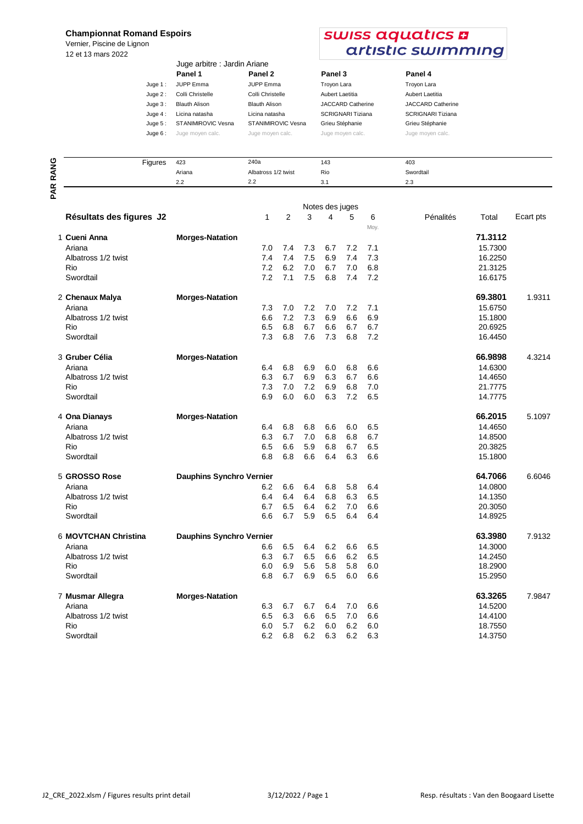## **Championnat Romand Espoirs**

Vernier, Piscine de Lignon 12 et 13 mars 2022

## swiss aquatics **a** artistic swimming

Swordtail

|           | Juge arbitre : Jardin Ariane |                      |                          |                          |
|-----------|------------------------------|----------------------|--------------------------|--------------------------|
|           | Panel 1                      | Panel 2              | Panel 3                  | Panel 4                  |
| Juge $1:$ | <b>JUPP</b> Emma             | <b>JUPP Emma</b>     | Troyon Lara              | Troyon Lara              |
| Juge $2:$ | Colli Christelle             | Colli Christelle     | Aubert Laetitia          | Aubert Laetitia          |
| Juge $3:$ | <b>Blauth Alison</b>         | <b>Blauth Alison</b> | <b>JACCARD Catherine</b> | <b>JACCARD Catherine</b> |
| Juge $4:$ | Licina natasha               | Licina natasha       | <b>SCRIGNARI Tiziana</b> | <b>SCRIGNARI Tiziana</b> |
| Juge $5:$ | STANIMIROVIC Vesna           | STANIMIROVIC Vesna   | Grieu Stéphanie          | Grieu Stéphanie          |
| Juge $6:$ | Juge moyen calc.             | Juge moyen calc.     | Juge moyen calc.         | Juge moyen calc.         |
|           |                              |                      |                          |                          |

| ပ             | Figures | 423    | 240a                | 143 | 403       |
|---------------|---------|--------|---------------------|-----|-----------|
| z<br>c        |         | Ariana | Albatross 1/2 twist | Rio | <b>Sw</b> |
| œ<br>$\alpha$ |         | 2.2    | 2.2                 | 3.1 | 2.3       |
| o             |         |        |                     |     |           |

|  |                          |                                 |     |     |     | Notes des juges |     |      |           |         |           |  |  |
|--|--------------------------|---------------------------------|-----|-----|-----|-----------------|-----|------|-----------|---------|-----------|--|--|
|  | Résultats des figures J2 |                                 | 1   | 2   | 3   | 4               | 5   | 6    | Pénalités | Total   | Ecart pts |  |  |
|  |                          |                                 |     |     |     |                 |     | Moy. |           |         |           |  |  |
|  | 1 Cueni Anna             | <b>Morges-Natation</b>          |     |     |     |                 |     |      |           | 71.3112 |           |  |  |
|  | Ariana                   |                                 | 7.0 | 7.4 | 7.3 | 6.7             | 7.2 | 7.1  |           | 15.7300 |           |  |  |
|  | Albatross 1/2 twist      |                                 | 7.4 | 7.4 | 7.5 | 6.9             | 7.4 | 7.3  |           | 16.2250 |           |  |  |
|  | Rio                      |                                 | 7.2 | 6.2 | 7.0 | 6.7             | 7.0 | 6.8  |           | 21.3125 |           |  |  |
|  | Swordtail                |                                 | 7.2 | 7.1 | 7.5 | 6.8             | 7.4 | 7.2  |           | 16.6175 |           |  |  |
|  | 2 Chenaux Malya          | <b>Morges-Natation</b>          |     |     |     |                 |     |      |           | 69.3801 | 1.9311    |  |  |
|  | Ariana                   |                                 | 7.3 | 7.0 | 7.2 | 7.0             | 7.2 | 7.1  |           | 15.6750 |           |  |  |
|  | Albatross 1/2 twist      |                                 | 6.6 | 7.2 | 7.3 | 6.9             | 6.6 | 6.9  |           | 15.1800 |           |  |  |
|  | Rio                      |                                 | 6.5 | 6.8 | 6.7 | 6.6             | 6.7 | 6.7  |           | 20.6925 |           |  |  |
|  | Swordtail                |                                 | 7.3 | 6.8 | 7.6 | 7.3             | 6.8 | 7.2  |           | 16.4450 |           |  |  |
|  | 3 Gruber Célia           | <b>Morges-Natation</b>          |     |     |     |                 |     |      |           | 66.9898 | 4.3214    |  |  |
|  | Ariana                   |                                 | 6.4 | 6.8 | 6.9 | 6.0             | 6.8 | 6.6  |           | 14.6300 |           |  |  |
|  | Albatross 1/2 twist      |                                 | 6.3 | 6.7 | 6.9 | 6.3             | 6.7 | 6.6  |           | 14.4650 |           |  |  |
|  | Rio                      |                                 | 7.3 | 7.0 | 7.2 | 6.9             | 6.8 | 7.0  |           | 21.7775 |           |  |  |
|  | Swordtail                |                                 | 6.9 | 6.0 | 6.0 | 6.3             | 7.2 | 6.5  |           | 14.7775 |           |  |  |
|  | 4 Ona Dianays            | <b>Morges-Natation</b>          |     |     |     |                 |     |      |           | 66.2015 | 5.1097    |  |  |
|  | Ariana                   |                                 | 6.4 | 6.8 | 6.8 | 6.6             | 6.0 | 6.5  |           | 14.4650 |           |  |  |
|  | Albatross 1/2 twist      |                                 | 6.3 | 6.7 | 7.0 | 6.8             | 6.8 | 6.7  |           | 14.8500 |           |  |  |
|  | Rio                      |                                 | 6.5 | 6.6 | 5.9 | 6.8             | 6.7 | 6.5  |           | 20.3825 |           |  |  |
|  | Swordtail                |                                 | 6.8 | 6.8 | 6.6 | 6.4             | 6.3 | 6.6  |           | 15.1800 |           |  |  |
|  | 5 GROSSO Rose            | <b>Dauphins Synchro Vernier</b> |     |     |     |                 |     |      |           | 64.7066 | 6.6046    |  |  |
|  | Ariana                   |                                 | 6.2 | 6.6 | 6.4 | 6.8             | 5.8 | 6.4  |           | 14.0800 |           |  |  |
|  | Albatross 1/2 twist      |                                 | 6.4 | 6.4 | 6.4 | 6.8             | 6.3 | 6.5  |           | 14.1350 |           |  |  |
|  | Rio                      |                                 | 6.7 | 6.5 | 6.4 | 6.2             | 7.0 | 6.6  |           | 20.3050 |           |  |  |
|  | Swordtail                |                                 | 6.6 | 6.7 | 5.9 | 6.5             | 6.4 | 6.4  |           | 14.8925 |           |  |  |
|  | 6 MOVTCHAN Christina     | <b>Dauphins Synchro Vernier</b> |     |     |     |                 |     |      |           | 63.3980 | 7.9132    |  |  |
|  | Ariana                   |                                 | 6.6 | 6.5 | 6.4 | 6.2             | 6.6 | 6.5  |           | 14.3000 |           |  |  |
|  | Albatross 1/2 twist      |                                 | 6.3 | 6.7 | 6.5 | 6.6             | 6.2 | 6.5  |           | 14.2450 |           |  |  |
|  | Rio                      |                                 | 6.0 | 6.9 | 5.6 | 5.8             | 5.8 | 6.0  |           | 18.2900 |           |  |  |
|  | Swordtail                |                                 | 6.8 | 6.7 | 6.9 | 6.5             | 6.0 | 6.6  |           | 15.2950 |           |  |  |
|  | 7 Musmar Allegra         | <b>Morges-Natation</b>          |     |     |     |                 |     |      |           | 63.3265 | 7.9847    |  |  |
|  | Ariana                   |                                 | 6.3 | 6.7 | 6.7 | 6.4             | 7.0 | 6.6  |           | 14.5200 |           |  |  |
|  | Albatross 1/2 twist      |                                 | 6.5 | 6.3 | 6.6 | 6.5             | 7.0 | 6.6  |           | 14.4100 |           |  |  |
|  | Rio                      |                                 | 6.0 | 5.7 | 6.2 | 6.0             | 6.2 | 6.0  |           | 18.7550 |           |  |  |
|  | Swordtail                |                                 | 6.2 | 6.8 | 6.2 | 6.3             | 6.2 | 6.3  |           | 14.3750 |           |  |  |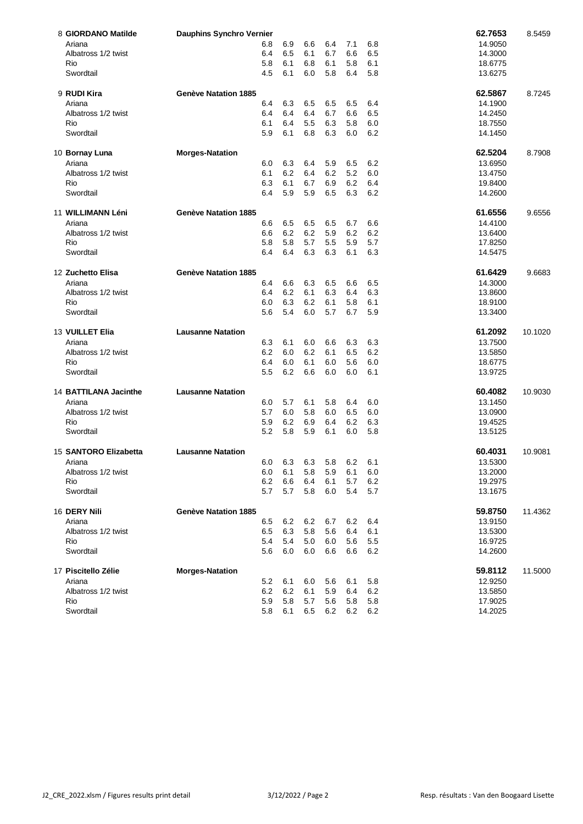| 8 GIORDANO Matilde     | <b>Dauphins Synchro Vernier</b> |            |            |            |            |            |            | 62.7653            | 8.5459  |
|------------------------|---------------------------------|------------|------------|------------|------------|------------|------------|--------------------|---------|
| Ariana                 |                                 | 6.8        | 6.9        | 6.6        | 6.4        | 7.1        | 6.8        | 14.9050            |         |
| Albatross 1/2 twist    |                                 | 6.4        | 6.5        | 6.1        | 6.7        | 6.6        | 6.5        | 14.3000            |         |
| Rio                    |                                 | 5.8        | 6.1        | 6.8        | 6.1        | 5.8        | 6.1        | 18.6775            |         |
| Swordtail              |                                 | 4.5        | 6.1        | 6.0        | 5.8        | 6.4        | 5.8        | 13.6275            |         |
| 9 RUDI Kira            | <b>Genève Natation 1885</b>     |            |            |            |            |            |            | 62.5867            | 8.7245  |
| Ariana                 |                                 | 6.4        | 6.3        | 6.5        | 6.5        | 6.5        | 6.4        | 14.1900            |         |
| Albatross 1/2 twist    |                                 | 6.4        | 6.4        | 6.4        | 6.7        | 6.6        | 6.5        |                    |         |
|                        |                                 | 6.1        | 6.4        |            |            |            |            | 14.2450            |         |
| Rio<br>Swordtail       |                                 | 5.9        | 6.1        | 5.5<br>6.8 | 6.3<br>6.3 | 5.8<br>6.0 | 6.0<br>6.2 | 18.7550<br>14.1450 |         |
|                        |                                 |            |            |            |            |            |            |                    |         |
| 10 Bornay Luna         | <b>Morges-Natation</b>          |            |            |            |            |            |            | 62.5204            | 8.7908  |
| Ariana                 |                                 | 6.0        | 6.3        | 6.4        | 5.9        | 6.5        | 6.2        | 13.6950            |         |
| Albatross 1/2 twist    |                                 | 6.1        | 6.2        | 6.4        | 6.2        | 5.2        | 6.0        | 13.4750            |         |
| Rio                    |                                 | 6.3        | 6.1        | 6.7        | 6.9        | 6.2        | 6.4        | 19.8400            |         |
| Swordtail              |                                 | 6.4        | 5.9        | 5.9        | 6.5        | 6.3        | 6.2        | 14.2600            |         |
| 11 WILLIMANN Léni      | Genève Natation 1885            |            |            |            |            |            |            | 61.6556            | 9.6556  |
| Ariana                 |                                 | 6.6        | 6.5        | 6.5        | 6.5        | 6.7        | 6.6        | 14.4100            |         |
| Albatross 1/2 twist    |                                 | 6.6        | 6.2        | 6.2        | 5.9        | 6.2        | 6.2        | 13.6400            |         |
| Rio                    |                                 | 5.8        | 5.8        | 5.7        | 5.5        | 5.9        | 5.7        | 17.8250            |         |
| Swordtail              |                                 | 6.4        | 6.4        | 6.3        | 6.3        | 6.1        | 6.3        | 14.5475            |         |
|                        |                                 |            |            |            |            |            |            |                    |         |
| 12 Zuchetto Elisa      | <b>Genève Natation 1885</b>     |            |            |            |            |            |            | 61.6429            | 9.6683  |
| Ariana                 |                                 | 6.4        | 6.6        | 6.3        | 6.5        | 6.6        | 6.5        | 14.3000            |         |
| Albatross 1/2 twist    |                                 | 6.4        | 6.2        | 6.1        | 6.3        | 6.4        | 6.3        | 13.8600            |         |
| Rio                    |                                 | 6.0        | 6.3        | 6.2        | 6.1        | 5.8        | 6.1        | 18.9100            |         |
| Swordtail              |                                 | 5.6        | 5.4        | 6.0        | 5.7        | 6.7        | 5.9        | 13.3400            |         |
| <b>13 VUILLET Elia</b> | <b>Lausanne Natation</b>        |            |            |            |            |            |            | 61.2092            | 10.1020 |
| Ariana                 |                                 | 6.3        | 6.1        | 6.0        | 6.6        | 6.3        | 6.3        | 13.7500            |         |
| Albatross 1/2 twist    |                                 | 6.2        | 6.0        | 6.2        | 6.1        | 6.5        | 6.2        | 13.5850            |         |
| Rio                    |                                 | 6.4        | 6.0        | 6.1        | 6.0        | 5.6        | 6.0        | 18.6775            |         |
| Swordtail              |                                 | 5.5        | 6.2        | 6.6        | 6.0        | 6.0        | 6.1        | 13.9725            |         |
| 14 BATTILANA Jacinthe  | <b>Lausanne Natation</b>        |            |            |            |            |            |            | 60.4082            | 10.9030 |
|                        |                                 |            |            |            |            |            |            |                    |         |
| Ariana                 |                                 | 6.0        | 5.7        | 6.1        | 5.8        | 6.4        | 6.0        | 13.1450            |         |
| Albatross 1/2 twist    |                                 | 5.7        | 6.0        | 5.8        | 6.0        | 6.5        | 6.0        | 13.0900            |         |
| Rio                    |                                 | 5.9        | 6.2        | 6.9        | 6.4        | 6.2        | 6.3        | 19.4525            |         |
| Swordtail              |                                 | 5.2        | 5.8        | 5.9        | 6.1        | 6.0        | 5.8        | 13.5125            |         |
| 15 SANTORO Elizabetta  | <b>Lausanne Natation</b>        |            |            |            |            |            |            | 60.4031            | 10.9081 |
| Ariana                 |                                 | 6.0        | 6.3        | 6.3        | 5.8        | 6.2        | 6.1        | 13.5300            |         |
| Albatross 1/2 twist    |                                 | 6.0        | 6.1        | 5.8        | 5.9        | 6.1        | 6.0        | 13.2000            |         |
| Rio                    |                                 | 6.2        | 6.6        | 6.4        | 6.1        | 5.7        | 6.2        | 19.2975            |         |
|                        |                                 |            |            |            |            |            |            |                    |         |
| Swordtail              |                                 | 5.7        | 5.7        | 5.8        | 6.0        | 5.4        | 5.7        | 13.1675            |         |
| 16 DERY Nili           | <b>Genève Natation 1885</b>     |            |            |            |            |            |            | 59.8750            | 11.4362 |
| Ariana                 |                                 | 6.5        | 6.2        |            |            | 6.2        | 6.4        |                    |         |
| Albatross 1/2 twist    |                                 | 6.5        | 6.3        | 6.2        | 6.7<br>5.6 | 6.4        |            | 13.9150            |         |
|                        |                                 |            |            | 5.8        |            |            | 6.1        | 13.5300            |         |
| Rio<br>Swordtail       |                                 | 5.4<br>5.6 | 5.4<br>6.0 | 5.0<br>6.0 | 6.0<br>6.6 | 5.6<br>6.6 | 5.5<br>6.2 | 16.9725<br>14.2600 |         |
|                        |                                 |            |            |            |            |            |            |                    |         |
| 17 Piscitello Zélie    | <b>Morges-Natation</b>          |            |            |            |            |            |            | 59.8112            | 11.5000 |
| Ariana                 |                                 | 5.2        | 6.1        | 6.0        | 5.6        | 6.1        | 5.8        | 12.9250            |         |
| Albatross 1/2 twist    |                                 | 6.2        | 6.2        | 6.1        | 5.9        | 6.4        | 6.2        | 13.5850            |         |
| Rio<br>Swordtail       |                                 | 5.9<br>5.8 | 5.8<br>6.1 | 5.7<br>6.5 | 5.6<br>6.2 | 5.8<br>6.2 | 5.8<br>6.2 | 17.9025<br>14.2025 |         |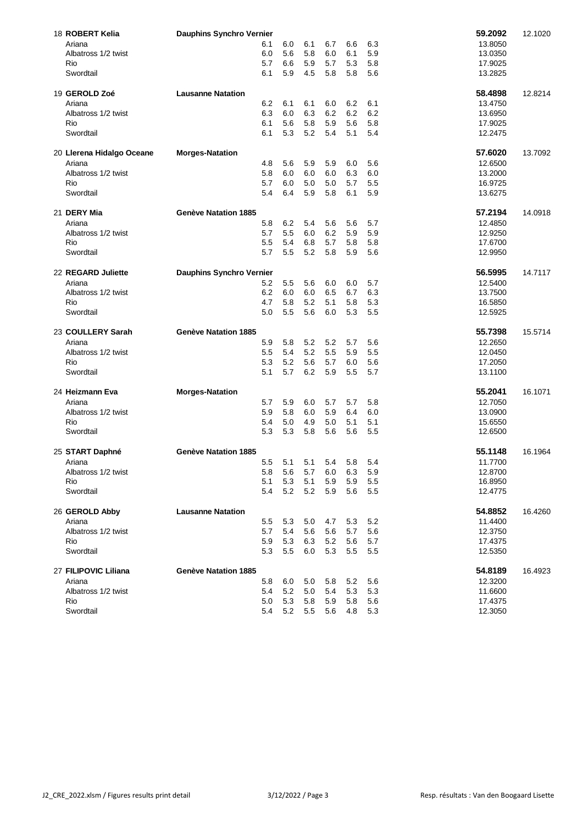| 18 ROBERT Kelia           | <b>Dauphins Synchro Vernier</b> |         |     |     |     |         |     | 59.2092 | 12.1020 |
|---------------------------|---------------------------------|---------|-----|-----|-----|---------|-----|---------|---------|
| Ariana                    |                                 | 6.1     | 6.0 | 6.1 | 6.7 | 6.6     | 6.3 | 13.8050 |         |
| Albatross 1/2 twist       |                                 | 6.0     | 5.6 | 5.8 | 6.0 | 6.1     | 5.9 | 13.0350 |         |
| Rio                       |                                 | 5.7     | 6.6 | 5.9 | 5.7 | 5.3     | 5.8 | 17.9025 |         |
| Swordtail                 |                                 | 6.1     | 5.9 | 4.5 | 5.8 | 5.8     | 5.6 | 13.2825 |         |
| 19 GEROLD Zoé             | <b>Lausanne Natation</b>        |         |     |     |     |         |     | 58.4898 | 12.8214 |
| Ariana                    |                                 | 6.2     | 6.1 | 6.1 | 6.0 | 6.2     | 6.1 | 13.4750 |         |
| Albatross 1/2 twist       |                                 | 6.3     | 6.0 | 6.3 | 6.2 | 6.2     | 6.2 | 13.6950 |         |
| Rio                       |                                 | 6.1     | 5.6 | 5.8 | 5.9 | 5.6     | 5.8 | 17.9025 |         |
| Swordtail                 |                                 | 6.1     | 5.3 | 5.2 | 5.4 | 5.1     | 5.4 | 12.2475 |         |
| 20 Llerena Hidalgo Oceane | <b>Morges-Natation</b>          |         |     |     |     |         |     | 57.6020 | 13.7092 |
| Ariana                    |                                 | 4.8     | 5.6 | 5.9 | 5.9 | 6.0     | 5.6 | 12.6500 |         |
| Albatross 1/2 twist       |                                 | 5.8     | 6.0 | 6.0 | 6.0 | 6.3     | 6.0 | 13.2000 |         |
| Rio                       |                                 | 5.7     | 6.0 | 5.0 | 5.0 | 5.7     | 5.5 | 16.9725 |         |
| Swordtail                 |                                 | 5.4     | 6.4 | 5.9 | 5.8 | 6.1     | 5.9 | 13.6275 |         |
| 21 DERY Mia               | Genève Natation 1885            |         |     |     |     |         |     | 57.2194 | 14.0918 |
| Ariana                    |                                 | 5.8     | 6.2 | 5.4 | 5.6 | 5.6     | 5.7 | 12.4850 |         |
| Albatross 1/2 twist       |                                 | 5.7     | 5.5 | 6.0 | 6.2 | 5.9     | 5.9 | 12.9250 |         |
| Rio                       |                                 | 5.5     | 5.4 | 6.8 | 5.7 | 5.8     | 5.8 | 17.6700 |         |
| Swordtail                 |                                 | 5.7     | 5.5 | 5.2 | 5.8 | 5.9     | 5.6 | 12.9950 |         |
| 22 REGARD Juliette        | <b>Dauphins Synchro Vernier</b> |         |     |     |     |         |     | 56.5995 | 14.7117 |
| Ariana                    |                                 | 5.2     | 5.5 | 5.6 | 6.0 | 6.0     | 5.7 | 12.5400 |         |
| Albatross 1/2 twist       |                                 | 6.2     | 6.0 | 6.0 | 6.5 | 6.7     | 6.3 | 13.7500 |         |
| Rio                       |                                 | 4.7     | 5.8 | 5.2 | 5.1 | 5.8     | 5.3 | 16.5850 |         |
| Swordtail                 |                                 | 5.0     | 5.5 | 5.6 | 6.0 | 5.3     | 5.5 | 12.5925 |         |
|                           |                                 |         |     |     |     |         |     |         |         |
| 23 COULLERY Sarah         | <b>Genève Natation 1885</b>     |         |     |     |     |         |     | 55.7398 | 15.5714 |
| Ariana                    |                                 | 5.9     | 5.8 | 5.2 | 5.2 | 5.7     | 5.6 | 12.2650 |         |
| Albatross 1/2 twist       |                                 | 5.5     | 5.4 | 5.2 | 5.5 | 5.9     | 5.5 | 12.0450 |         |
| Rio                       |                                 | 5.3     | 5.2 | 5.6 | 5.7 | 6.0     | 5.6 | 17.2050 |         |
| Swordtail                 |                                 | 5.1     | 5.7 | 6.2 | 5.9 | 5.5     | 5.7 | 13.1100 |         |
| 24 Heizmann Eva           | <b>Morges-Natation</b>          |         |     |     |     |         |     | 55.2041 | 16.1071 |
| Ariana                    |                                 | 5.7     | 5.9 | 6.0 | 5.7 | 5.7     | 5.8 | 12.7050 |         |
| Albatross 1/2 twist       |                                 | 5.9     | 5.8 | 6.0 | 5.9 | 6.4     | 6.0 | 13.0900 |         |
| Rio                       |                                 | 5.4     | 5.0 | 4.9 | 5.0 | 5.1     | 5.1 | 15.6550 |         |
| Swordtail                 |                                 | 5.3     | 5.3 | 5.8 | 5.6 | 5.6     | 5.5 | 12.6500 |         |
| 25 START Daphné           | Genève Natation 1885            |         |     |     |     |         |     | 55.1148 | 16.1964 |
| Ariana                    |                                 | 5.5     | 5.1 | 5.1 | 5.4 | 5.8     | 5.4 | 11.7700 |         |
| Albatross 1/2 twist       |                                 | 5.8     | 5.6 | 5.7 | 6.0 | 6.3     | 5.9 | 12.8700 |         |
| Rio                       |                                 | 5.1     | 5.3 | 5.1 | 5.9 | 5.9     | 5.5 | 16.8950 |         |
| Swordtail                 |                                 | 5.4     | 5.2 | 5.2 | 5.9 | 5.6     | 5.5 | 12.4775 |         |
| 26 GEROLD Abby            | <b>Lausanne Natation</b>        |         |     |     |     |         |     | 54.8852 | 16.4260 |
| Ariana                    |                                 | 5.5     | 5.3 | 5.0 | 4.7 | 5.3     | 5.2 | 11.4400 |         |
| Albatross 1/2 twist       |                                 | 5.7     | 5.4 | 5.6 | 5.6 | 5.7     | 5.6 | 12.3750 |         |
| Rio                       |                                 | 5.9     | 5.3 | 6.3 | 5.2 | 5.6     | 5.7 | 17.4375 |         |
| Swordtail                 |                                 | 5.3     | 5.5 | 6.0 | 5.3 | $5.5\,$ | 5.5 | 12.5350 |         |
| 27 FILIPOVIC Liliana      | <b>Genève Natation 1885</b>     |         |     |     |     |         |     | 54.8189 | 16.4923 |
| Ariana                    |                                 | 5.8     | 6.0 | 5.0 | 5.8 | 5.2     | 5.6 | 12.3200 |         |
| Albatross 1/2 twist       |                                 | 5.4     | 5.2 | 5.0 | 5.4 | 5.3     | 5.3 | 11.6600 |         |
| Rio                       |                                 | $5.0\,$ | 5.3 | 5.8 | 5.9 | 5.8     | 5.6 | 17.4375 |         |
|                           |                                 |         |     |     |     |         |     |         |         |
| Swordtail                 |                                 | 5.4     | 5.2 | 5.5 | 5.6 | 4.8     | 5.3 | 12.3050 |         |